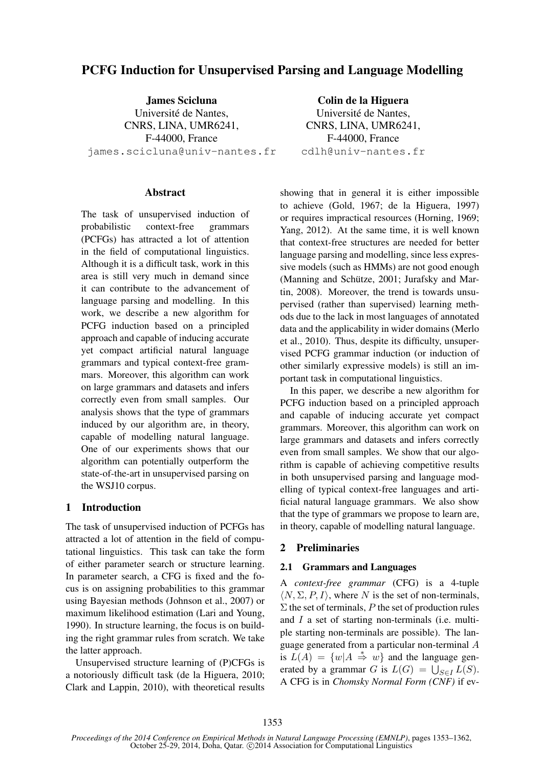# PCFG Induction for Unsupervised Parsing and Language Modelling

James Scicluna Université de Nantes, CNRS, LINA, UMR6241, F-44000, France james.scicluna@univ-nantes.fr

**Abstract** 

The task of unsupervised induction of probabilistic context-free grammars (PCFGs) has attracted a lot of attention in the field of computational linguistics. Although it is a difficult task, work in this area is still very much in demand since it can contribute to the advancement of language parsing and modelling. In this work, we describe a new algorithm for PCFG induction based on a principled approach and capable of inducing accurate yet compact artificial natural language grammars and typical context-free grammars. Moreover, this algorithm can work on large grammars and datasets and infers correctly even from small samples. Our analysis shows that the type of grammars induced by our algorithm are, in theory, capable of modelling natural language. One of our experiments shows that our algorithm can potentially outperform the state-of-the-art in unsupervised parsing on the WSJ10 corpus.

### 1 Introduction

The task of unsupervised induction of PCFGs has attracted a lot of attention in the field of computational linguistics. This task can take the form of either parameter search or structure learning. In parameter search, a CFG is fixed and the focus is on assigning probabilities to this grammar using Bayesian methods (Johnson et al., 2007) or maximum likelihood estimation (Lari and Young, 1990). In structure learning, the focus is on building the right grammar rules from scratch. We take the latter approach.

Unsupervised structure learning of (P)CFGs is a notoriously difficult task (de la Higuera, 2010; Clark and Lappin, 2010), with theoretical results

Colin de la Higuera Université de Nantes, CNRS, LINA, UMR6241, F-44000, France cdlh@univ-nantes.fr

showing that in general it is either impossible to achieve (Gold, 1967; de la Higuera, 1997) or requires impractical resources (Horning, 1969; Yang, 2012). At the same time, it is well known that context-free structures are needed for better language parsing and modelling, since less expressive models (such as HMMs) are not good enough (Manning and Schütze, 2001; Jurafsky and Martin, 2008). Moreover, the trend is towards unsupervised (rather than supervised) learning methods due to the lack in most languages of annotated data and the applicability in wider domains (Merlo et al., 2010). Thus, despite its difficulty, unsupervised PCFG grammar induction (or induction of other similarly expressive models) is still an important task in computational linguistics.

In this paper, we describe a new algorithm for PCFG induction based on a principled approach and capable of inducing accurate yet compact grammars. Moreover, this algorithm can work on large grammars and datasets and infers correctly even from small samples. We show that our algorithm is capable of achieving competitive results in both unsupervised parsing and language modelling of typical context-free languages and artificial natural language grammars. We also show that the type of grammars we propose to learn are, in theory, capable of modelling natural language.

## 2 Preliminaries

### 2.1 Grammars and Languages

A *context-free grammar* (CFG) is a 4-tuple  $\langle N, \Sigma, P, I \rangle$ , where N is the set of non-terminals,  $\Sigma$  the set of terminals, P the set of production rules and I a set of starting non-terminals (i.e. multiple starting non-terminals are possible). The language generated from a particular non-terminal A is  $L(A) = \{w | A \stackrel{*}{\Rightarrow} w\}$  and the language generated by a grammar G is  $L(G) = \bigcup_{S \in I} L(S)$ . A CFG is in *Chomsky Normal Form (CNF)* if ev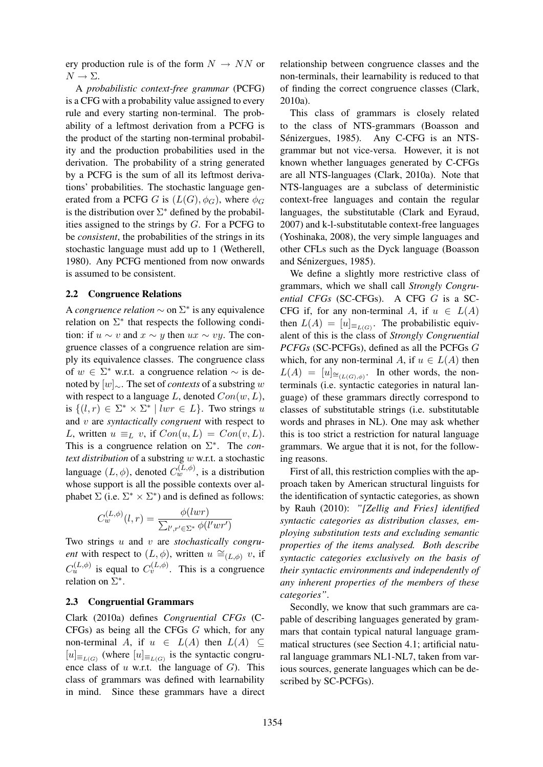ery production rule is of the form  $N \rightarrow NN$  or  $N \to \Sigma$ .

A *probabilistic context-free grammar* (PCFG) is a CFG with a probability value assigned to every rule and every starting non-terminal. The probability of a leftmost derivation from a PCFG is the product of the starting non-terminal probability and the production probabilities used in the derivation. The probability of a string generated by a PCFG is the sum of all its leftmost derivations' probabilities. The stochastic language generated from a PCFG G is  $(L(G), \phi_G)$ , where  $\phi_G$ is the distribution over  $\Sigma^*$  defined by the probabilities assigned to the strings by  $G$ . For a PCFG to be *consistent*, the probabilities of the strings in its stochastic language must add up to 1 (Wetherell, 1980). Any PCFG mentioned from now onwards is assumed to be consistent.

#### 2.2 Congruence Relations

A *congruence relation*  $\sim$  on  $\Sigma^*$  is any equivalence relation on  $\Sigma^*$  that respects the following condition: if  $u \sim v$  and  $x \sim y$  then  $ux \sim vy$ . The congruence classes of a congruence relation are simply its equivalence classes. The congruence class of  $w \in \Sigma^*$  w.r.t. a congruence relation  $\sim$  is denoted by [w]∼. The set of *contexts* of a substring w with respect to a language L, denoted  $Con(w, L)$ , is  $\{(l, r) \in \Sigma^* \times \Sigma^* \mid lwr \in L\}$ . Two strings u and v are *syntactically congruent* with respect to L, written  $u \equiv_L v$ , if  $Con(u, L) = Con(v, L)$ . This is a congruence relation on  $\Sigma^*$ . The *context distribution* of a substring w w.r.t. a stochastic language  $(L, \phi)$ , denoted  $C_w^{(L, \phi)}$ , is a distribution whose support is all the possible contexts over alphabet  $\Sigma$  (i.e.  $\Sigma^* \times \Sigma^*$ ) and is defined as follows:

$$
C_w^{(L,\phi)}(l,r) = \frac{\phi(lwr)}{\sum_{l',r' \in \Sigma^*} \phi(l'wr')}
$$

Two strings u and v are *stochastically congruent* with respect to  $(L, \phi)$ , written  $u \cong_{(L, \phi)} v$ , if  $C_u^{(L,\phi)}$  is equal to  $C_v^{(L,\phi)}$ . This is a congruence relation on  $\Sigma^*$ .

### 2.3 Congruential Grammars

Clark (2010a) defines *Congruential CFGs* (C-CFGs) as being all the CFGs G which, for any non-terminal A, if  $u \in L(A)$  then  $L(A) \subseteq$  $[u]_{\equiv_{L(G)}}$  (where  $[u]_{\equiv_{L(G)}}$  is the syntactic congruence class of  $u$  w.r.t. the language of  $G$ ). This class of grammars was defined with learnability in mind. Since these grammars have a direct relationship between congruence classes and the non-terminals, their learnability is reduced to that of finding the correct congruence classes (Clark, 2010a).

This class of grammars is closely related to the class of NTS-grammars (Boasson and Sénizergues, 1985). Any C-CFG is an NTSgrammar but not vice-versa. However, it is not known whether languages generated by C-CFGs are all NTS-languages (Clark, 2010a). Note that NTS-languages are a subclass of deterministic context-free languages and contain the regular languages, the substitutable (Clark and Eyraud, 2007) and k-l-substitutable context-free languages (Yoshinaka, 2008), the very simple languages and other CFLs such as the Dyck language (Boasson and Sénizergues, 1985).

We define a slightly more restrictive class of grammars, which we shall call *Strongly Congruential CFGs* (SC-CFGs). A CFG G is a SC-CFG if, for any non-terminal A, if  $u \in L(A)$ then  $L(A) = [u]_{\equiv_{L(G)}}$ . The probabilistic equivalent of this is the class of *Strongly Congruential PCFGs* (SC-PCFGs), defined as all the PCFGs G which, for any non-terminal A, if  $u \in L(A)$  then  $L(A) = [u]_{\cong_{(L(G),\phi)}}$ . In other words, the nonterminals (i.e. syntactic categories in natural language) of these grammars directly correspond to classes of substitutable strings (i.e. substitutable words and phrases in NL). One may ask whether this is too strict a restriction for natural language grammars. We argue that it is not, for the following reasons.

First of all, this restriction complies with the approach taken by American structural linguists for the identification of syntactic categories, as shown by Rauh (2010): *"[Zellig and Fries] identified syntactic categories as distribution classes, employing substitution tests and excluding semantic properties of the items analysed. Both describe syntactic categories exclusively on the basis of their syntactic environments and independently of any inherent properties of the members of these categories"*.

Secondly, we know that such grammars are capable of describing languages generated by grammars that contain typical natural language grammatical structures (see Section 4.1; artificial natural language grammars NL1-NL7, taken from various sources, generate languages which can be described by SC-PCFGs).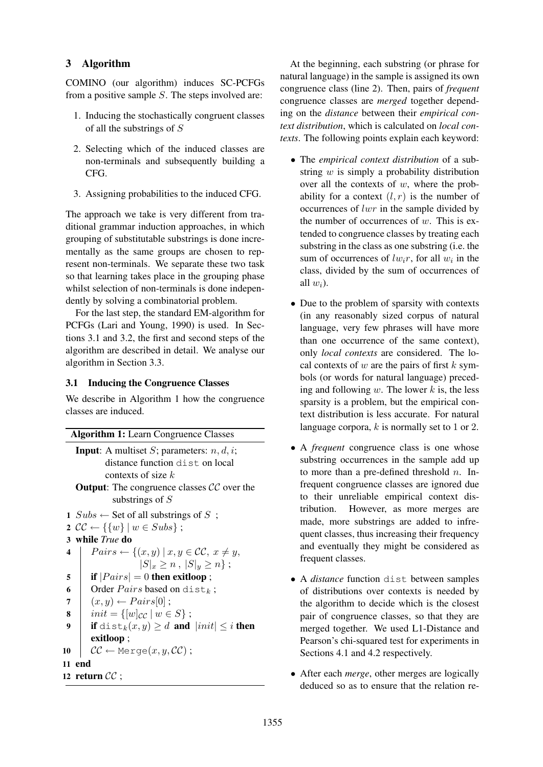## 3 Algorithm

COMINO (our algorithm) induces SC-PCFGs from a positive sample S. The steps involved are:

- 1. Inducing the stochastically congruent classes of all the substrings of S
- 2. Selecting which of the induced classes are non-terminals and subsequently building a CFG.
- 3. Assigning probabilities to the induced CFG.

The approach we take is very different from traditional grammar induction approaches, in which grouping of substitutable substrings is done incrementally as the same groups are chosen to represent non-terminals. We separate these two task so that learning takes place in the grouping phase whilst selection of non-terminals is done independently by solving a combinatorial problem.

For the last step, the standard EM-algorithm for PCFGs (Lari and Young, 1990) is used. In Sections 3.1 and 3.2, the first and second steps of the algorithm are described in detail. We analyse our algorithm in Section 3.3.

## 3.1 Inducing the Congruence Classes

We describe in Algorithm 1 how the congruence classes are induced.

|                                                             | <b>Algorithm 1:</b> Learn Congruence Classes                |  |  |  |  |
|-------------------------------------------------------------|-------------------------------------------------------------|--|--|--|--|
|                                                             |                                                             |  |  |  |  |
| <b>Input:</b> A multiset <i>S</i> ; parameters: $n, d, i$ ; |                                                             |  |  |  |  |
|                                                             | distance function dist on local                             |  |  |  |  |
| contexts of size $k$                                        |                                                             |  |  |  |  |
| <b>Output:</b> The congruence classes $CC$ over the         |                                                             |  |  |  |  |
|                                                             | substrings of $S$                                           |  |  |  |  |
|                                                             | 1 $Subs \leftarrow$ Set of all substrings of S;             |  |  |  |  |
|                                                             | 2 $\mathcal{CC} \leftarrow \{\{w\} \mid w \in Subs\};$      |  |  |  |  |
|                                                             | 3 while <i>True</i> do                                      |  |  |  |  |
| $\overline{\mathbf{4}}$                                     | $Pairs \leftarrow \{(x, y) \mid x, y \in CC, x \neq y,$     |  |  |  |  |
|                                                             | $ S _x \geq n,  S _y \geq n$ ;                              |  |  |  |  |
| 5                                                           | if $ Pairs  = 0$ then exitloop;                             |  |  |  |  |
| 6                                                           | Order $Pairs$ based on dist <sub>k</sub> ;                  |  |  |  |  |
| 7                                                           | $(x, y) \leftarrow Pairs[0];$                               |  |  |  |  |
| 8                                                           | $init = \{ [w]_{CC}   w \in S \};$                          |  |  |  |  |
| 9                                                           | if dist <sub>k</sub> $(x, y) \ge d$ and $ init  \le i$ then |  |  |  |  |
|                                                             | exitloop;                                                   |  |  |  |  |
| 10                                                          | $\mathcal{CC} \leftarrow$ Merge $(x, y, \mathcal{CC})$ ;    |  |  |  |  |
| 11                                                          | end                                                         |  |  |  |  |
|                                                             | 12 return $CC$ ;                                            |  |  |  |  |
|                                                             |                                                             |  |  |  |  |

At the beginning, each substring (or phrase for natural language) in the sample is assigned its own congruence class (line 2). Then, pairs of *frequent* congruence classes are *merged* together depending on the *distance* between their *empirical context distribution*, which is calculated on *local contexts*. The following points explain each keyword:

- The *empirical context distribution* of a substring  $w$  is simply a probability distribution over all the contexts of  $w$ , where the probability for a context  $(l, r)$  is the number of occurrences of  $lwr$  in the sample divided by the number of occurrences of  $w$ . This is extended to congruence classes by treating each substring in the class as one substring (i.e. the sum of occurrences of  $lw_i r$ , for all  $w_i$  in the class, divided by the sum of occurrences of all  $w_i$ ).
- Due to the problem of sparsity with contexts (in any reasonably sized corpus of natural language, very few phrases will have more than one occurrence of the same context), only *local contexts* are considered. The local contexts of w are the pairs of first  $k$  symbols (or words for natural language) preceding and following  $w$ . The lower  $k$  is, the less sparsity is a problem, but the empirical context distribution is less accurate. For natural language corpora,  $k$  is normally set to 1 or 2.
- A *frequent* congruence class is one whose substring occurrences in the sample add up to more than a pre-defined threshold  $n$ . Infrequent congruence classes are ignored due to their unreliable empirical context distribution. However, as more merges are made, more substrings are added to infrequent classes, thus increasing their frequency and eventually they might be considered as frequent classes.
- A *distance* function dist between samples of distributions over contexts is needed by the algorithm to decide which is the closest pair of congruence classes, so that they are merged together. We used L1-Distance and Pearson's chi-squared test for experiments in Sections 4.1 and 4.2 respectively.
- After each *merge*, other merges are logically deduced so as to ensure that the relation re-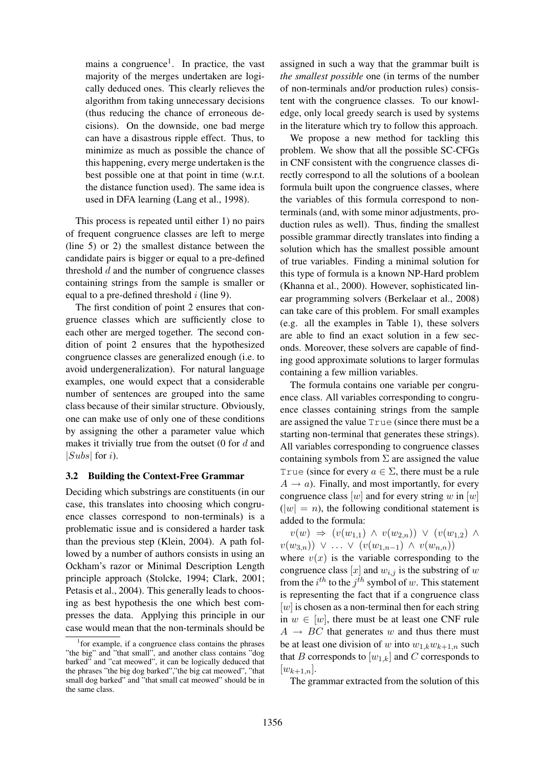mains a congruence<sup>1</sup>. In practice, the vast majority of the merges undertaken are logically deduced ones. This clearly relieves the algorithm from taking unnecessary decisions (thus reducing the chance of erroneous decisions). On the downside, one bad merge can have a disastrous ripple effect. Thus, to minimize as much as possible the chance of this happening, every merge undertaken is the best possible one at that point in time (w.r.t. the distance function used). The same idea is used in DFA learning (Lang et al., 1998).

This process is repeated until either 1) no pairs of frequent congruence classes are left to merge (line 5) or 2) the smallest distance between the candidate pairs is bigger or equal to a pre-defined threshold  $d$  and the number of congruence classes containing strings from the sample is smaller or equal to a pre-defined threshold  $i$  (line 9).

The first condition of point 2 ensures that congruence classes which are sufficiently close to each other are merged together. The second condition of point 2 ensures that the hypothesized congruence classes are generalized enough (i.e. to avoid undergeneralization). For natural language examples, one would expect that a considerable number of sentences are grouped into the same class because of their similar structure. Obviously, one can make use of only one of these conditions by assigning the other a parameter value which makes it trivially true from the outset  $(0$  for  $d$  and |Subs| for  $i$ ).

### 3.2 Building the Context-Free Grammar

Deciding which substrings are constituents (in our case, this translates into choosing which congruence classes correspond to non-terminals) is a problematic issue and is considered a harder task than the previous step (Klein, 2004). A path followed by a number of authors consists in using an Ockham's razor or Minimal Description Length principle approach (Stolcke, 1994; Clark, 2001; Petasis et al., 2004). This generally leads to choosing as best hypothesis the one which best compresses the data. Applying this principle in our case would mean that the non-terminals should be

assigned in such a way that the grammar built is *the smallest possible* one (in terms of the number of non-terminals and/or production rules) consistent with the congruence classes. To our knowledge, only local greedy search is used by systems in the literature which try to follow this approach.

We propose a new method for tackling this problem. We show that all the possible SC-CFGs in CNF consistent with the congruence classes directly correspond to all the solutions of a boolean formula built upon the congruence classes, where the variables of this formula correspond to nonterminals (and, with some minor adjustments, production rules as well). Thus, finding the smallest possible grammar directly translates into finding a solution which has the smallest possible amount of true variables. Finding a minimal solution for this type of formula is a known NP-Hard problem (Khanna et al., 2000). However, sophisticated linear programming solvers (Berkelaar et al., 2008) can take care of this problem. For small examples (e.g. all the examples in Table 1), these solvers are able to find an exact solution in a few seconds. Moreover, these solvers are capable of finding good approximate solutions to larger formulas containing a few million variables.

The formula contains one variable per congruence class. All variables corresponding to congruence classes containing strings from the sample are assigned the value True (since there must be a starting non-terminal that generates these strings). All variables corresponding to congruence classes containing symbols from  $\Sigma$  are assigned the value True (since for every  $a \in \Sigma$ , there must be a rule  $A \rightarrow a$ ). Finally, and most importantly, for every congruence class  $[w]$  and for every string w in  $[w]$  $(|w| = n)$ , the following conditional statement is added to the formula:

 $v(w) \Rightarrow (v(w_{1,1}) \wedge v(w_{2,n})) \vee (v(w_{1,2}) \wedge$  $v(w_{3,n})$ ) ∨ ...  $\vee$   $(v(w_{1,n-1}) \wedge v(w_{n,n}))$ 

where  $v(x)$  is the variable corresponding to the congruence class [x] and  $w_{i,j}$  is the substring of w from the  $i^{th}$  to the  $j^{th}$  symbol of w. This statement is representing the fact that if a congruence class  $[w]$  is chosen as a non-terminal then for each string in  $w \in [w]$ , there must be at least one CNF rule  $A \rightarrow BC$  that generates w and thus there must be at least one division of w into  $w_{1,k}w_{k+1,n}$  such that B corresponds to  $[w_{1,k}]$  and C corresponds to  $[w_{k+1,n}].$ 

The grammar extracted from the solution of this

<sup>&</sup>lt;sup>1</sup> for example, if a congruence class contains the phrases "the big" and "that small", and another class contains "dog barked" and "cat meowed", it can be logically deduced that the phrases "the big dog barked","the big cat meowed", "that small dog barked" and "that small cat meowed" should be in the same class.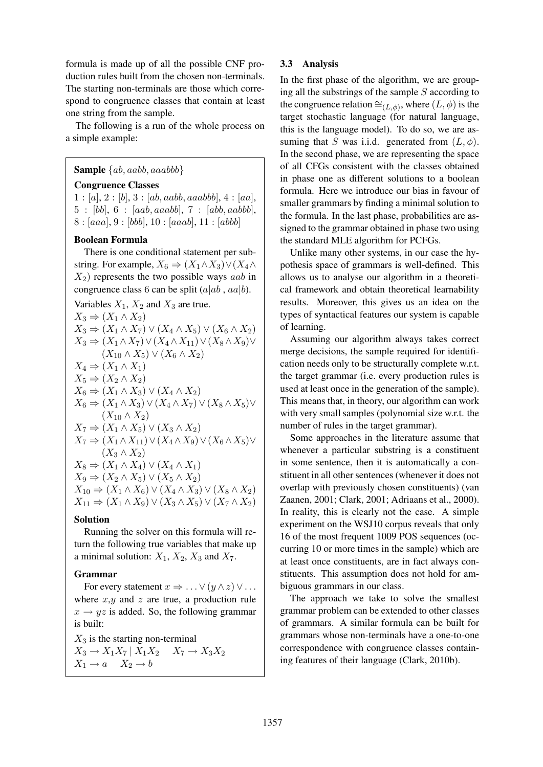formula is made up of all the possible CNF production rules built from the chosen non-terminals. The starting non-terminals are those which correspond to congruence classes that contain at least one string from the sample.

The following is a run of the whole process on a simple example:

### **Sample**  $\{ab, aabb, aaabb\}$

### Congruence Classes

 $1 : [a], 2 : [b], 3 : [ab, aabb, aaabbb], 4 : [aa],$ 5 : [bb], 6 : [aab, aaabb], 7 : [abb, aabbb],  $8: [aaa], 9: [bbb], 10: [aaa], 11: [abbb]$ 

#### Boolean Formula

There is one conditional statement per substring. For example,  $X_6 \Rightarrow (X_1 \wedge X_3) \vee (X_4 \wedge X_5)$  $X_2$ ) represents the two possible ways *aab* in congruence class 6 can be split  $(a|ab, aa|b)$ .

Variables  $X_1, X_2$  and  $X_3$  are true.  $X_3 \Rightarrow (X_1 \wedge X_2)$  $X_3 \Rightarrow (X_1 \wedge X_7) \vee (X_4 \wedge X_5) \vee (X_6 \wedge X_2)$  $X_3 \Rightarrow (X_1 \wedge X_7) \vee (X_4 \wedge X_{11}) \vee (X_8 \wedge X_9) \vee$  $(X_{10} \wedge X_5) \vee (X_6 \wedge X_2)$  $X_4 \Rightarrow (X_1 \wedge X_1)$  $X_5 \Rightarrow (X_2 \wedge X_2)$  $X_6 \Rightarrow (X_1 \wedge X_3) \vee (X_4 \wedge X_2)$  $X_6 \Rightarrow (X_1 \wedge X_3) \vee (X_4 \wedge X_7) \vee (X_8 \wedge X_5) \vee$  $(X_{10} \wedge X_2)$  $X_7 \Rightarrow (X_1 \wedge X_5) \vee (X_3 \wedge X_2)$  $X_7 \Rightarrow (X_1 \wedge X_{11}) \vee (X_4 \wedge X_9) \vee (X_6 \wedge X_5) \vee$  $(X_3 \wedge X_2)$  $X_8 \Rightarrow (X_1 \land X_4) \lor (X_4 \land X_1)$  $X_9 \Rightarrow (X_2 \wedge X_5) \vee (X_5 \wedge X_2)$  $X_{10} \Rightarrow (X_1 \wedge X_6) \vee (X_4 \wedge X_3) \vee (X_8 \wedge X_2)$  $X_{11} \Rightarrow (X_1 \wedge X_9) \vee (X_3 \wedge X_5) \vee (X_7 \wedge X_2)$ 

### Solution

Running the solver on this formula will return the following true variables that make up a minimal solution:  $X_1$ ,  $X_2$ ,  $X_3$  and  $X_7$ .

### Grammar

For every statement  $x \Rightarrow ... \vee (y \wedge z) \vee ...$ where  $x, y$  and  $z$  are true, a production rule  $x \rightarrow yz$  is added. So, the following grammar is built:

 $X_3$  is the starting non-terminal  $X_3 \to X_1 X_7 \mid X_1 X_2 \quad X_7 \to X_3 X_2$  $X_1 \rightarrow a \quad X_2 \rightarrow b$ 

### 3.3 Analysis

In the first phase of the algorithm, we are grouping all the substrings of the sample  $S$  according to the congruence relation  $\cong_{(L,\phi)}$ , where  $(L,\phi)$  is the target stochastic language (for natural language, this is the language model). To do so, we are assuming that S was i.i.d. generated from  $(L, \phi)$ . In the second phase, we are representing the space of all CFGs consistent with the classes obtained in phase one as different solutions to a boolean formula. Here we introduce our bias in favour of smaller grammars by finding a minimal solution to the formula. In the last phase, probabilities are assigned to the grammar obtained in phase two using the standard MLE algorithm for PCFGs.

Unlike many other systems, in our case the hypothesis space of grammars is well-defined. This allows us to analyse our algorithm in a theoretical framework and obtain theoretical learnability results. Moreover, this gives us an idea on the types of syntactical features our system is capable of learning.

Assuming our algorithm always takes correct merge decisions, the sample required for identification needs only to be structurally complete w.r.t. the target grammar (i.e. every production rules is used at least once in the generation of the sample). This means that, in theory, our algorithm can work with very small samples (polynomial size w.r.t. the number of rules in the target grammar).

Some approaches in the literature assume that whenever a particular substring is a constituent in some sentence, then it is automatically a constituent in all other sentences (whenever it does not overlap with previously chosen constituents) (van Zaanen, 2001; Clark, 2001; Adriaans et al., 2000). In reality, this is clearly not the case. A simple experiment on the WSJ10 corpus reveals that only 16 of the most frequent 1009 POS sequences (occurring 10 or more times in the sample) which are at least once constituents, are in fact always constituents. This assumption does not hold for ambiguous grammars in our class.

The approach we take to solve the smallest grammar problem can be extended to other classes of grammars. A similar formula can be built for grammars whose non-terminals have a one-to-one correspondence with congruence classes containing features of their language (Clark, 2010b).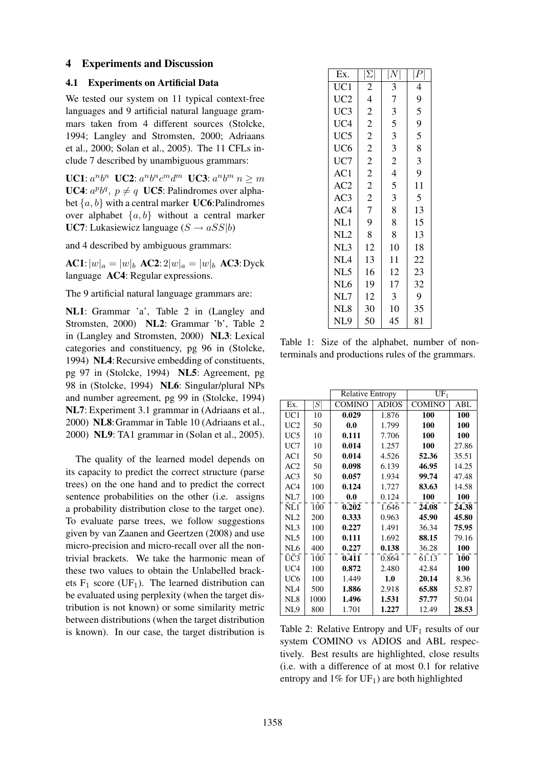### 4 Experiments and Discussion

### 4.1 Experiments on Artificial Data

We tested our system on 11 typical context-free languages and 9 artificial natural language grammars taken from 4 different sources (Stolcke, 1994; Langley and Stromsten, 2000; Adriaans et al., 2000; Solan et al., 2005). The 11 CFLs include 7 described by unambiguous grammars:

UC1:  $a^n b^n$  UC2:  $a^n b^n c^m d^m$  UC3:  $a^n b^m$   $n \ge m$ UC4:  $a^p b^q$ ,  $p \neq q$  UC5: Palindromes over alphabet  $\{a, b\}$  with a central marker UC6: Palindromes over alphabet  $\{a, b\}$  without a central marker **UC7**: Lukasiewicz language  $(S \rightarrow aSS|b)$ 

and 4 described by ambiguous grammars:

 $AC1:|w|_a = |w|_b$   $AC2: 2|w|_a = |w|_b$   $AC3: Dyck$ language AC4: Regular expressions.

The 9 artificial natural language grammars are:

NL1: Grammar 'a', Table 2 in (Langley and Stromsten, 2000) NL2: Grammar 'b', Table 2 in (Langley and Stromsten, 2000) NL3: Lexical categories and constituency, pg 96 in (Stolcke, 1994) NL4: Recursive embedding of constituents, pg 97 in (Stolcke, 1994) NL5: Agreement, pg 98 in (Stolcke, 1994) NL6: Singular/plural NPs and number agreement, pg 99 in (Stolcke, 1994) NL7: Experiment 3.1 grammar in (Adriaans et al., 2000) NL8:Grammar in Table 10 (Adriaans et al., 2000) NL9: TA1 grammar in (Solan et al., 2005).

The quality of the learned model depends on its capacity to predict the correct structure (parse trees) on the one hand and to predict the correct sentence probabilities on the other (i.e. assigns a probability distribution close to the target one). To evaluate parse trees, we follow suggestions given by van Zaanen and Geertzen (2008) and use micro-precision and micro-recall over all the nontrivial brackets. We take the harmonic mean of these two values to obtain the Unlabelled brackets  $F_1$  score (UF<sub>1</sub>). The learned distribution can be evaluated using perplexity (when the target distribution is not known) or some similarity metric between distributions (when the target distribution is known). In our case, the target distribution is

| Ex.             | $ \Sigma $     | $\left  N \right $ | $\left\vert P\right\vert$ |
|-----------------|----------------|--------------------|---------------------------|
| UC1             | $\overline{2}$ | 3                  | 4                         |
| UC <sub>2</sub> | $\overline{4}$ | 7                  | 9                         |
| UC3             | $\overline{2}$ | 3                  | 5                         |
| UC4             | $\overline{2}$ | 5                  | 9                         |
| UC <sub>5</sub> | $\overline{2}$ | 3                  | 5                         |
| UC <sub>6</sub> | $\overline{2}$ | 3                  | 8                         |
| UC7             | $\overline{c}$ | $\overline{2}$     | 3                         |
| AC1             | $\overline{c}$ | $\overline{4}$     | 9                         |
| AC2             | $\overline{2}$ | 5                  | 11                        |
| AC3             | $\overline{c}$ | 3                  | 5                         |
| AC4             | $\overline{7}$ | 8                  | 13                        |
| NL1             | 9              | 8                  | 15                        |
| NL2             | 8              | 8                  | 13                        |
| NL3             | 12             | 10                 | 18                        |
| NL <sub>4</sub> | 13             | 11                 | 22                        |
| NL5             | 16             | 12                 | 23                        |
| NL <sub>6</sub> | 19             | 17                 | 32                        |
| NL7             | 12             | 3                  | 9                         |
| NL <sub>8</sub> | 30             | 10                 | 35                        |
| NL9             | 50             | 45                 | 81                        |

Table 1: Size of the alphabet, number of nonterminals and productions rules of the grammars.

|                 |      | <b>Relative Entropy</b> |              | $UF_1$        |       |
|-----------------|------|-------------------------|--------------|---------------|-------|
| Ex.             | S    | <b>COMINO</b>           | <b>ADIOS</b> | <b>COMINO</b> | ABL   |
| UC1             | 10   | 0.029                   | 1.876        | 100           | 100   |
| UC <sub>2</sub> | 50   | 0.0                     | 1.799        | 100           | 100   |
| UC5             | 10   | 0.111                   | 7.706        | 100           | 100   |
| UC7             | 10   | 0.014                   | 1.257        | 100           | 27.86 |
| AC1             | 50   | 0.014                   | 4.526        | 52.36         | 35.51 |
| AC2             | 50   | 0.098                   | 6.139        | 46.95         | 14.25 |
| AC3             | 50   | 0.057                   | 1.934        | 99.74         | 47.48 |
| AC4             | 100  | 0.124                   | 1.727        | 83.63         | 14.58 |
| NL7             | 100  | 0.0                     | 0.124        | 100           | 100   |
| NL1             | 100  | 0.202                   | 1.646        | 24.08         | 24.38 |
| NI.2            | 200  | 0.333                   | 0.963        | 45.90         | 45.80 |
| NL3             | 100  | 0.227                   | 1.491        | 36.34         | 75.95 |
| NL5             | 100  | 0.111                   | 1.692        | 88.15         | 79.16 |
| NL <sub>6</sub> | 400  | 0.227                   | 0.138        | 36.28         | 100   |
| UC3             | 100  | 0.411                   | 0.864        | 61.13         | 100   |
| UC <sub>4</sub> | 100  | 0.872                   | 2.480        | 42.84         | 100   |
| UC6             | 100  | 1.449                   | 1.0          | 20.14         | 8.36  |
| NIA             | 500  | 1.886                   | 2.918        | 65.88         | 52.87 |
| NL <sub>8</sub> | 1000 | 1.496                   | 1.531        | 57.77         | 50.04 |
| NL <sub>9</sub> | 800  | 1.701                   | 1.227        | 12.49         | 28.53 |

Table 2: Relative Entropy and  $UF_1$  results of our system COMINO vs ADIOS and ABL respectively. Best results are highlighted, close results (i.e. with a difference of at most 0.1 for relative entropy and  $1\%$  for UF<sub>1</sub>) are both highlighted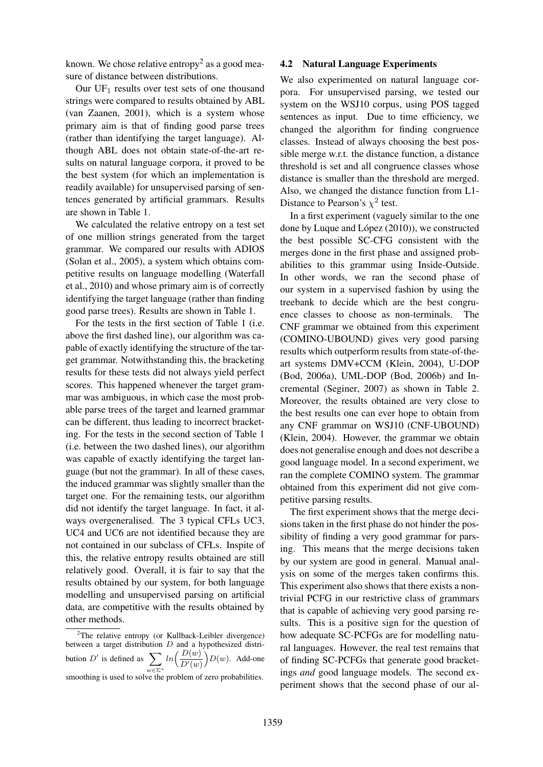known. We chose relative entropy<sup>2</sup> as a good measure of distance between distributions.

Our  $UF_1$  results over test sets of one thousand strings were compared to results obtained by ABL (van Zaanen, 2001), which is a system whose primary aim is that of finding good parse trees (rather than identifying the target language). Although ABL does not obtain state-of-the-art results on natural language corpora, it proved to be the best system (for which an implementation is readily available) for unsupervised parsing of sentences generated by artificial grammars. Results are shown in Table 1.

We calculated the relative entropy on a test set of one million strings generated from the target grammar. We compared our results with ADIOS (Solan et al., 2005), a system which obtains competitive results on language modelling (Waterfall et al., 2010) and whose primary aim is of correctly identifying the target language (rather than finding good parse trees). Results are shown in Table 1.

For the tests in the first section of Table 1 (i.e. above the first dashed line), our algorithm was capable of exactly identifying the structure of the target grammar. Notwithstanding this, the bracketing results for these tests did not always yield perfect scores. This happened whenever the target grammar was ambiguous, in which case the most probable parse trees of the target and learned grammar can be different, thus leading to incorrect bracketing. For the tests in the second section of Table 1 (i.e. between the two dashed lines), our algorithm was capable of exactly identifying the target language (but not the grammar). In all of these cases, the induced grammar was slightly smaller than the target one. For the remaining tests, our algorithm did not identify the target language. In fact, it always overgeneralised. The 3 typical CFLs UC3, UC4 and UC6 are not identified because they are not contained in our subclass of CFLs. Inspite of this, the relative entropy results obtained are still relatively good. Overall, it is fair to say that the results obtained by our system, for both language modelling and unsupervised parsing on artificial data, are competitive with the results obtained by other methods.

### 4.2 Natural Language Experiments

We also experimented on natural language corpora. For unsupervised parsing, we tested our system on the WSJ10 corpus, using POS tagged sentences as input. Due to time efficiency, we changed the algorithm for finding congruence classes. Instead of always choosing the best possible merge w.r.t. the distance function, a distance threshold is set and all congruence classes whose distance is smaller than the threshold are merged. Also, we changed the distance function from L1- Distance to Pearson's  $\chi^2$  test.

In a first experiment (vaguely similar to the one done by Luque and López  $(2010)$ ), we constructed the best possible SC-CFG consistent with the merges done in the first phase and assigned probabilities to this grammar using Inside-Outside. In other words, we ran the second phase of our system in a supervised fashion by using the treebank to decide which are the best congruence classes to choose as non-terminals. The CNF grammar we obtained from this experiment (COMINO-UBOUND) gives very good parsing results which outperform results from state-of-theart systems DMV+CCM (Klein, 2004), U-DOP (Bod, 2006a), UML-DOP (Bod, 2006b) and Incremental (Seginer, 2007) as shown in Table 2. Moreover, the results obtained are very close to the best results one can ever hope to obtain from any CNF grammar on WSJ10 (CNF-UBOUND) (Klein, 2004). However, the grammar we obtain does not generalise enough and does not describe a good language model. In a second experiment, we ran the complete COMINO system. The grammar obtained from this experiment did not give competitive parsing results.

The first experiment shows that the merge decisions taken in the first phase do not hinder the possibility of finding a very good grammar for parsing. This means that the merge decisions taken by our system are good in general. Manual analysis on some of the merges taken confirms this. This experiment also shows that there exists a nontrivial PCFG in our restrictive class of grammars that is capable of achieving very good parsing results. This is a positive sign for the question of how adequate SC-PCFGs are for modelling natural languages. However, the real test remains that of finding SC-PCFGs that generate good bracketings *and* good language models. The second experiment shows that the second phase of our al-

<sup>&</sup>lt;sup>2</sup>The relative entropy (or Kullback-Leibler divergence) between a target distribution  $D$  and a hypothesized distribution  $D'$  is defined as  $\sum$ w∈Σ<sup>∗</sup>  $ln\left(\frac{D(w)}{D'(w)}\right)$  $D(w)$ . Add-one smoothing is used to solve the problem of zero probabilities.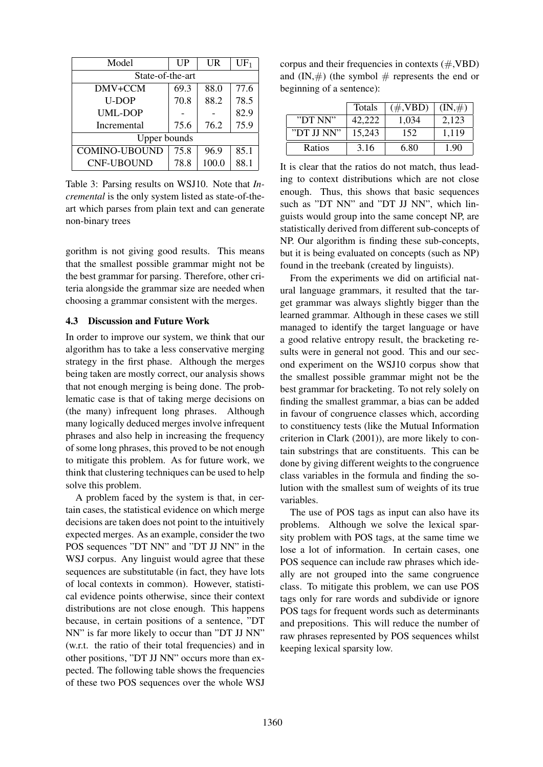| Model                | $_{\text{UP}}$ | <b>UR</b> | $UF_1$ |  |
|----------------------|----------------|-----------|--------|--|
| State-of-the-art     |                |           |        |  |
| DMV+CCM              | 69.3           | 88.0      | 77.6   |  |
| <b>U-DOP</b>         | 70.8           | 88.2      | 78.5   |  |
| UML-DOP              |                |           | 82.9   |  |
| Incremental          | 75.6           | 76.2      | 75.9   |  |
| <b>Upper bounds</b>  |                |           |        |  |
| <b>COMINO-UBOUND</b> | 75.8           | 96.9      | 85.1   |  |
| <b>CNF-UBOUND</b>    | 78.8           | 100.0     | 88.1   |  |

Table 3: Parsing results on WSJ10. Note that *Incremental* is the only system listed as state-of-theart which parses from plain text and can generate non-binary trees

gorithm is not giving good results. This means that the smallest possible grammar might not be the best grammar for parsing. Therefore, other criteria alongside the grammar size are needed when choosing a grammar consistent with the merges.

#### 4.3 Discussion and Future Work

In order to improve our system, we think that our algorithm has to take a less conservative merging strategy in the first phase. Although the merges being taken are mostly correct, our analysis shows that not enough merging is being done. The problematic case is that of taking merge decisions on (the many) infrequent long phrases. Although many logically deduced merges involve infrequent phrases and also help in increasing the frequency of some long phrases, this proved to be not enough to mitigate this problem. As for future work, we think that clustering techniques can be used to help solve this problem.

A problem faced by the system is that, in certain cases, the statistical evidence on which merge decisions are taken does not point to the intuitively expected merges. As an example, consider the two POS sequences "DT NN" and "DT JJ NN" in the WSJ corpus. Any linguist would agree that these sequences are substitutable (in fact, they have lots of local contexts in common). However, statistical evidence points otherwise, since their context distributions are not close enough. This happens because, in certain positions of a sentence, "DT NN" is far more likely to occur than "DT JJ NN" (w.r.t. the ratio of their total frequencies) and in other positions, "DT JJ NN" occurs more than expected. The following table shows the frequencies of these two POS sequences over the whole WSJ

corpus and their frequencies in contexts  $(\text{#,VBD})$ and  $(IN, \#)$  (the symbol  $\#$  represents the end or beginning of a sentence):

|            | Totals | $(\#$ , VBD) | $(\mathrm{IN},\#)$ |
|------------|--------|--------------|--------------------|
| "DT NN"    | 42.222 | 1,034        | 2,123              |
| "DT JJ NN" | 15,243 | 152          | 1,119              |
| Ratios     | 3.16   | 6.80         | 1.90               |

It is clear that the ratios do not match, thus leading to context distributions which are not close enough. Thus, this shows that basic sequences such as "DT NN" and "DT JJ NN", which linguists would group into the same concept NP, are statistically derived from different sub-concepts of NP. Our algorithm is finding these sub-concepts, but it is being evaluated on concepts (such as NP) found in the treebank (created by linguists).

From the experiments we did on artificial natural language grammars, it resulted that the target grammar was always slightly bigger than the learned grammar. Although in these cases we still managed to identify the target language or have a good relative entropy result, the bracketing results were in general not good. This and our second experiment on the WSJ10 corpus show that the smallest possible grammar might not be the best grammar for bracketing. To not rely solely on finding the smallest grammar, a bias can be added in favour of congruence classes which, according to constituency tests (like the Mutual Information criterion in Clark (2001)), are more likely to contain substrings that are constituents. This can be done by giving different weights to the congruence class variables in the formula and finding the solution with the smallest sum of weights of its true variables.

The use of POS tags as input can also have its problems. Although we solve the lexical sparsity problem with POS tags, at the same time we lose a lot of information. In certain cases, one POS sequence can include raw phrases which ideally are not grouped into the same congruence class. To mitigate this problem, we can use POS tags only for rare words and subdivide or ignore POS tags for frequent words such as determinants and prepositions. This will reduce the number of raw phrases represented by POS sequences whilst keeping lexical sparsity low.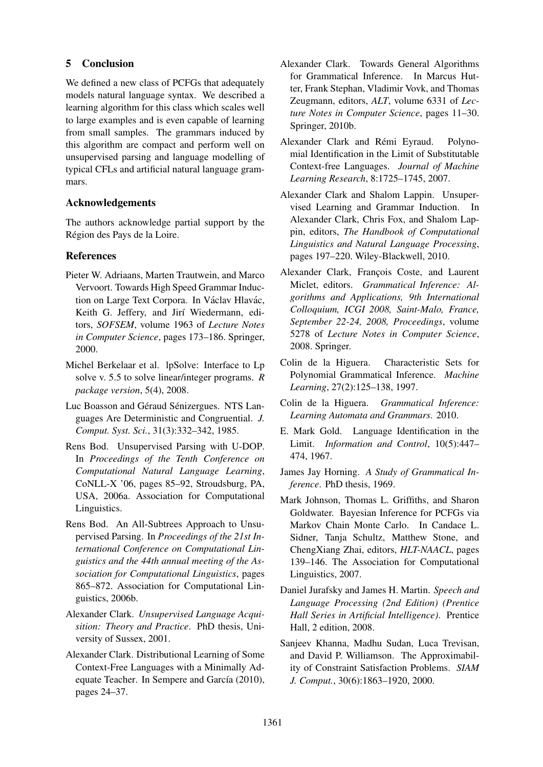## 5 Conclusion

We defined a new class of PCFGs that adequately models natural language syntax. We described a learning algorithm for this class which scales well to large examples and is even capable of learning from small samples. The grammars induced by this algorithm are compact and perform well on unsupervised parsing and language modelling of typical CFLs and artificial natural language grammars.

## Acknowledgements

The authors acknowledge partial support by the Région des Pays de la Loire.

# **References**

- Pieter W. Adriaans, Marten Trautwein, and Marco Vervoort. Towards High Speed Grammar Induction on Large Text Corpora. In Václav Hlavác, Keith G. Jeffery, and Jirí Wiedermann, editors, *SOFSEM*, volume 1963 of *Lecture Notes in Computer Science*, pages 173–186. Springer, 2000.
- Michel Berkelaar et al. lpSolve: Interface to Lp solve v. 5.5 to solve linear/integer programs. *R package version*, 5(4), 2008.
- Luc Boasson and Géraud Sénizergues. NTS Languages Are Deterministic and Congruential. *J. Comput. Syst. Sci.*, 31(3):332–342, 1985.
- Rens Bod. Unsupervised Parsing with U-DOP. In *Proceedings of the Tenth Conference on Computational Natural Language Learning*, CoNLL-X '06, pages 85–92, Stroudsburg, PA, USA, 2006a. Association for Computational Linguistics.
- Rens Bod. An All-Subtrees Approach to Unsupervised Parsing. In *Proceedings of the 21st International Conference on Computational Linguistics and the 44th annual meeting of the Association for Computational Linguistics*, pages 865–872. Association for Computational Linguistics, 2006b.
- Alexander Clark. *Unsupervised Language Acquisition: Theory and Practice*. PhD thesis, University of Sussex, 2001.
- Alexander Clark. Distributional Learning of Some Context-Free Languages with a Minimally Adequate Teacher. In Sempere and García (2010), pages 24–37.
- Alexander Clark. Towards General Algorithms for Grammatical Inference. In Marcus Hutter, Frank Stephan, Vladimir Vovk, and Thomas Zeugmann, editors, *ALT*, volume 6331 of *Lecture Notes in Computer Science*, pages 11–30. Springer, 2010b.
- Alexander Clark and Rémi Eyraud. Polynomial Identification in the Limit of Substitutable Context-free Languages. *Journal of Machine Learning Research*, 8:1725–1745, 2007.
- Alexander Clark and Shalom Lappin. Unsupervised Learning and Grammar Induction. In Alexander Clark, Chris Fox, and Shalom Lappin, editors, *The Handbook of Computational Linguistics and Natural Language Processing*, pages 197–220. Wiley-Blackwell, 2010.
- Alexander Clark, François Coste, and Laurent Miclet, editors. *Grammatical Inference: Algorithms and Applications, 9th International Colloquium, ICGI 2008, Saint-Malo, France, September 22-24, 2008, Proceedings*, volume 5278 of *Lecture Notes in Computer Science*, 2008. Springer.
- Colin de la Higuera. Characteristic Sets for Polynomial Grammatical Inference. *Machine Learning*, 27(2):125–138, 1997.
- Colin de la Higuera. *Grammatical Inference: Learning Automata and Grammars*. 2010.
- E. Mark Gold. Language Identification in the Limit. *Information and Control*, 10(5):447– 474, 1967.
- James Jay Horning. *A Study of Grammatical Inference*. PhD thesis, 1969.
- Mark Johnson, Thomas L. Griffiths, and Sharon Goldwater. Bayesian Inference for PCFGs via Markov Chain Monte Carlo. In Candace L. Sidner, Tanja Schultz, Matthew Stone, and ChengXiang Zhai, editors, *HLT-NAACL*, pages 139–146. The Association for Computational Linguistics, 2007.
- Daniel Jurafsky and James H. Martin. *Speech and Language Processing (2nd Edition) (Prentice Hall Series in Artificial Intelligence)*. Prentice Hall, 2 edition, 2008.
- Sanjeev Khanna, Madhu Sudan, Luca Trevisan, and David P. Williamson. The Approximability of Constraint Satisfaction Problems. *SIAM J. Comput.*, 30(6):1863–1920, 2000.